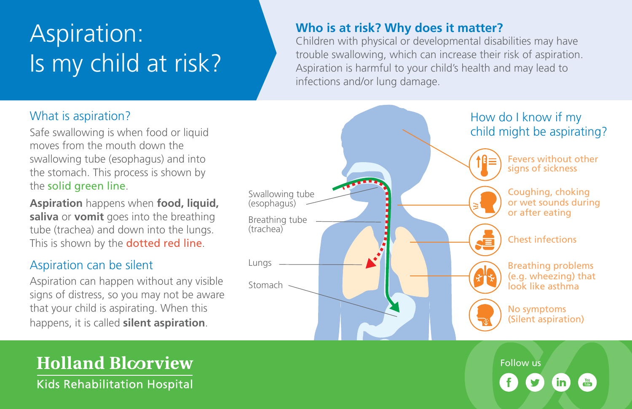# Aspiration: Is my child at risk?

#### **Who is at risk? Why does it matter?**

Children with physical or developmental disabilities may have trouble swallowing, which can increase their risk of aspiration. Aspiration is harmful to your child's health and may lead to infections and/or lung damage.

#### How do I know if my child might be aspirating? Swallowing tube (esophagus) Breathing tube (trachea) Lungs Stomach Fevers without other signs of sickness Coughing, choking or wet sounds during or after eating Chest infections Breathing problems (e.g. wheezing) that look like asthma No symptoms (Silent aspiration)

Follow us

### What is aspiration?

Safe swallowing is when food or liquid moves from the mouth down the swallowing tube (esophagus) and into the stomach. This process is shown by the solid green line.

**Aspiration** happens when **food, liquid, saliva** or **vomit** goes into the breathing tube (trachea) and down into the lungs. This is shown by the **dotted red line**.

#### Aspiration can be silent

Aspiration can happen without any visible signs of distress, so you may not be aware that your child is aspirating. When this happens, it is called **silent aspiration**.

**Holland Bloorview Kids Rehabilitation Hospital**